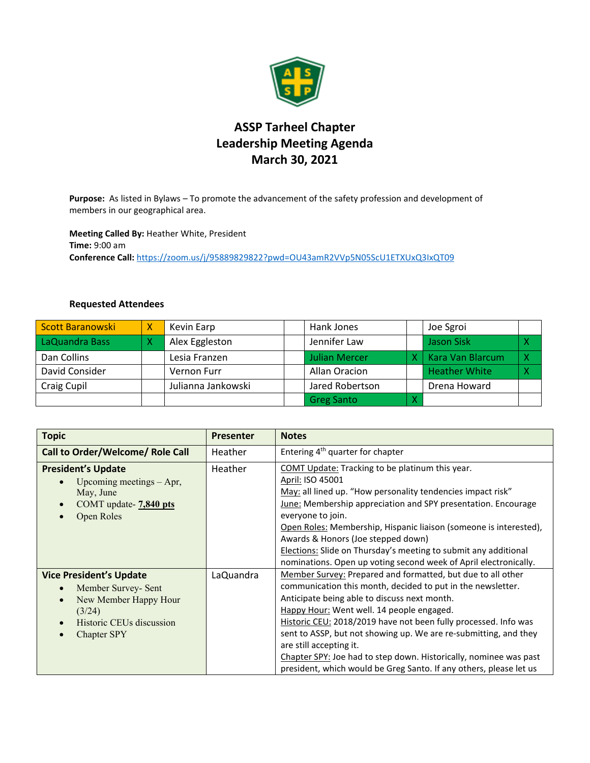

## **ASSP Tarheel Chapter Leadership Meeting Agenda March 30, 2021**

**Purpose:** As listed in Bylaws – To promote the advancement of the safety profession and development of members in our geographical area.

**Meeting Called By:** Heather White, President **Time:** 9:00 am **Conference Call:** <https://zoom.us/j/95889829822?pwd=OU43amR2VVp5N05ScU1ETXUxQ3IxQT09>

## **Requested Attendees**

| <b>Scott Baranowski</b> | χ | Kevin Earp         | Hank Jones           | Joe Sgroi            |   |
|-------------------------|---|--------------------|----------------------|----------------------|---|
| LaQuandra Bass          |   | Alex Eggleston     | Jennifer Law         | Jason Sisk           | Χ |
| Dan Collins             |   | Lesia Franzen      | <b>Julian Mercer</b> | Kara Van Blarcum     | X |
| David Consider          |   | Vernon Furr        | Allan Oracion        | <b>Heather White</b> | X |
| Craig Cupil             |   | Julianna Jankowski | Jared Robertson      | Drena Howard         |   |
|                         |   |                    | <b>Greg Santo</b>    |                      |   |

| <b>Topic</b>                                                                                                                                                  | <b>Presenter</b> | <b>Notes</b>                                                                                                                                                                                                                                                                                                                                                                                                                                                                                                                         |
|---------------------------------------------------------------------------------------------------------------------------------------------------------------|------------------|--------------------------------------------------------------------------------------------------------------------------------------------------------------------------------------------------------------------------------------------------------------------------------------------------------------------------------------------------------------------------------------------------------------------------------------------------------------------------------------------------------------------------------------|
| Call to Order/Welcome/ Role Call                                                                                                                              | Heather          | Entering 4 <sup>th</sup> quarter for chapter                                                                                                                                                                                                                                                                                                                                                                                                                                                                                         |
| <b>President's Update</b><br>Upcoming meetings $-$ Apr,<br>May, June<br>COMT update- 7,840 pts<br>$\bullet$<br>Open Roles                                     | Heather          | COMT Update: Tracking to be platinum this year.<br>April: ISO 45001<br>May: all lined up. "How personality tendencies impact risk"<br><b>June:</b> Membership appreciation and SPY presentation. Encourage<br>everyone to join.<br>Open Roles: Membership, Hispanic liaison (someone is interested),<br>Awards & Honors (Joe stepped down)<br><b>Elections:</b> Slide on Thursday's meeting to submit any additional<br>nominations. Open up voting second week of April electronically.                                             |
| <b>Vice President's Update</b><br>Member Survey- Sent<br>$\bullet$<br>New Member Happy Hour<br>$\bullet$<br>(3/24)<br>Historic CEUs discussion<br>Chapter SPY | LaQuandra        | Member Survey: Prepared and formatted, but due to all other<br>communication this month, decided to put in the newsletter.<br>Anticipate being able to discuss next month.<br>Happy Hour: Went well. 14 people engaged.<br>Historic CEU: 2018/2019 have not been fully processed. Info was<br>sent to ASSP, but not showing up. We are re-submitting, and they<br>are still accepting it.<br>Chapter SPY: Joe had to step down. Historically, nominee was past<br>president, which would be Greg Santo. If any others, please let us |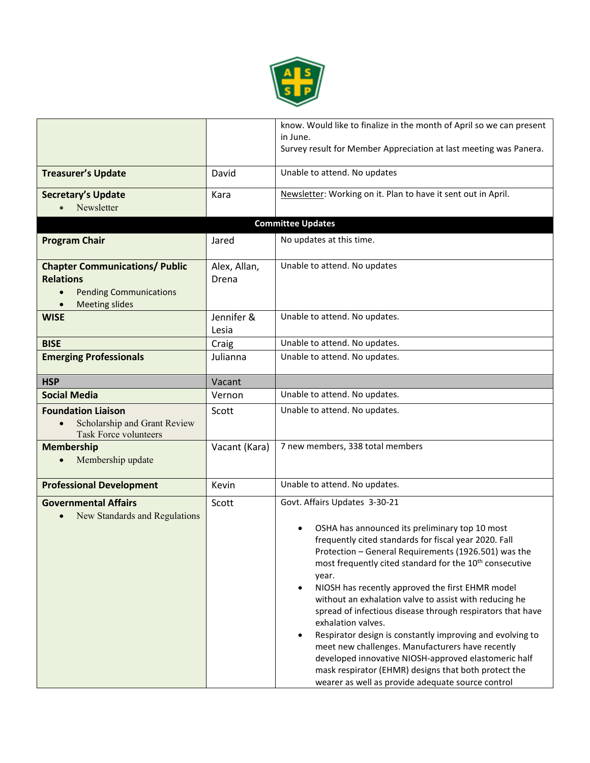

|                                                                                                                     |                       | know. Would like to finalize in the month of April so we can present<br>in June.                                                                                                                                                                                                                                                                                                                                                                                                                                                                                                                                                                                                                                                                                         |
|---------------------------------------------------------------------------------------------------------------------|-----------------------|--------------------------------------------------------------------------------------------------------------------------------------------------------------------------------------------------------------------------------------------------------------------------------------------------------------------------------------------------------------------------------------------------------------------------------------------------------------------------------------------------------------------------------------------------------------------------------------------------------------------------------------------------------------------------------------------------------------------------------------------------------------------------|
|                                                                                                                     |                       | Survey result for Member Appreciation at last meeting was Panera.                                                                                                                                                                                                                                                                                                                                                                                                                                                                                                                                                                                                                                                                                                        |
| <b>Treasurer's Update</b>                                                                                           | David                 | Unable to attend. No updates                                                                                                                                                                                                                                                                                                                                                                                                                                                                                                                                                                                                                                                                                                                                             |
| <b>Secretary's Update</b><br>Newsletter                                                                             | Kara                  | Newsletter: Working on it. Plan to have it sent out in April.                                                                                                                                                                                                                                                                                                                                                                                                                                                                                                                                                                                                                                                                                                            |
|                                                                                                                     |                       | <b>Committee Updates</b>                                                                                                                                                                                                                                                                                                                                                                                                                                                                                                                                                                                                                                                                                                                                                 |
|                                                                                                                     |                       | No updates at this time.                                                                                                                                                                                                                                                                                                                                                                                                                                                                                                                                                                                                                                                                                                                                                 |
| <b>Program Chair</b>                                                                                                | Jared                 |                                                                                                                                                                                                                                                                                                                                                                                                                                                                                                                                                                                                                                                                                                                                                                          |
| <b>Chapter Communications/ Public</b><br><b>Relations</b><br><b>Pending Communications</b><br><b>Meeting slides</b> | Alex, Allan,<br>Drena | Unable to attend. No updates                                                                                                                                                                                                                                                                                                                                                                                                                                                                                                                                                                                                                                                                                                                                             |
| <b>WISE</b>                                                                                                         | Jennifer &<br>Lesia   | Unable to attend. No updates.                                                                                                                                                                                                                                                                                                                                                                                                                                                                                                                                                                                                                                                                                                                                            |
| <b>BISE</b>                                                                                                         | Craig                 | Unable to attend. No updates.                                                                                                                                                                                                                                                                                                                                                                                                                                                                                                                                                                                                                                                                                                                                            |
| <b>Emerging Professionals</b>                                                                                       | Julianna              | Unable to attend. No updates.                                                                                                                                                                                                                                                                                                                                                                                                                                                                                                                                                                                                                                                                                                                                            |
| <b>HSP</b>                                                                                                          | Vacant                |                                                                                                                                                                                                                                                                                                                                                                                                                                                                                                                                                                                                                                                                                                                                                                          |
| <b>Social Media</b>                                                                                                 | Vernon                | Unable to attend. No updates.                                                                                                                                                                                                                                                                                                                                                                                                                                                                                                                                                                                                                                                                                                                                            |
| <b>Foundation Liaison</b><br>Scholarship and Grant Review<br><b>Task Force volunteers</b>                           | Scott                 | Unable to attend. No updates.                                                                                                                                                                                                                                                                                                                                                                                                                                                                                                                                                                                                                                                                                                                                            |
| <b>Membership</b><br>Membership update                                                                              | Vacant (Kara)         | 7 new members, 338 total members                                                                                                                                                                                                                                                                                                                                                                                                                                                                                                                                                                                                                                                                                                                                         |
| <b>Professional Development</b>                                                                                     | Kevin                 | Unable to attend. No updates.                                                                                                                                                                                                                                                                                                                                                                                                                                                                                                                                                                                                                                                                                                                                            |
| <b>Governmental Affairs</b><br>New Standards and Regulations                                                        | Scott                 | Govt. Affairs Updates 3-30-21<br>OSHA has announced its preliminary top 10 most<br>frequently cited standards for fiscal year 2020. Fall<br>Protection - General Requirements (1926.501) was the<br>most frequently cited standard for the 10 <sup>th</sup> consecutive<br>year.<br>NIOSH has recently approved the first EHMR model<br>without an exhalation valve to assist with reducing he<br>spread of infectious disease through respirators that have<br>exhalation valves.<br>Respirator design is constantly improving and evolving to<br>meet new challenges. Manufacturers have recently<br>developed innovative NIOSH-approved elastomeric half<br>mask respirator (EHMR) designs that both protect the<br>wearer as well as provide adequate source control |